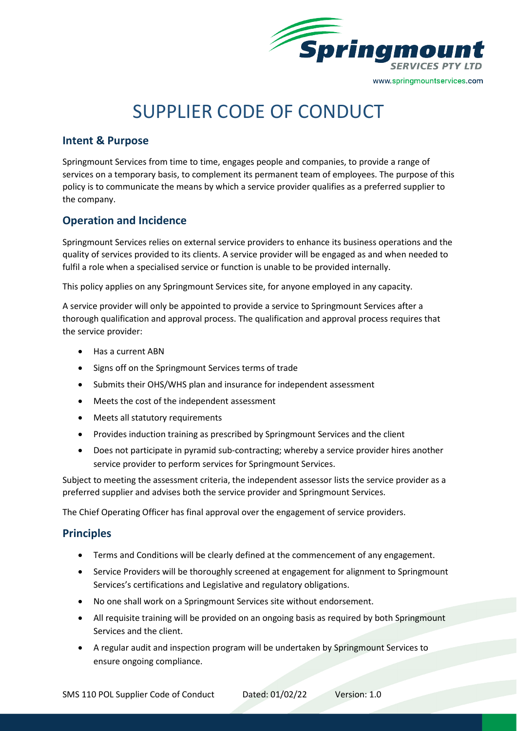

# SUPPLIER CODE OF CONDUCT

## **Intent & Purpose**

Springmount Services from time to time, engages people and companies, to provide a range of services on a temporary basis, to complement its permanent team of employees. The purpose of this policy is to communicate the means by which a service provider qualifies as a preferred supplier to the company.

# **Operation and Incidence**

Springmount Services relies on external service providers to enhance its business operations and the quality of services provided to its clients. A service provider will be engaged as and when needed to fulfil a role when a specialised service or function is unable to be provided internally.

This policy applies on any Springmount Services site, for anyone employed in any capacity.

A service provider will only be appointed to provide a service to Springmount Services after a thorough qualification and approval process. The qualification and approval process requires that the service provider:

- Has a current ABN
- Signs off on the Springmount Services terms of trade
- Submits their OHS/WHS plan and insurance for independent assessment
- Meets the cost of the independent assessment
- Meets all statutory requirements
- Provides induction training as prescribed by Springmount Services and the client
- Does not participate in pyramid sub-contracting; whereby a service provider hires another service provider to perform services for Springmount Services.

Subject to meeting the assessment criteria, the independent assessor lists the service provider as a preferred supplier and advises both the service provider and Springmount Services.

The Chief Operating Officer has final approval over the engagement of service providers.

## **Principles**

- Terms and Conditions will be clearly defined at the commencement of any engagement.
- Service Providers will be thoroughly screened at engagement for alignment to Springmount Services's certifications and Legislative and regulatory obligations.
- No one shall work on a Springmount Services site without endorsement.
- All requisite training will be provided on an ongoing basis as required by both Springmount Services and the client.
- A regular audit and inspection program will be undertaken by Springmount Services to ensure ongoing compliance.